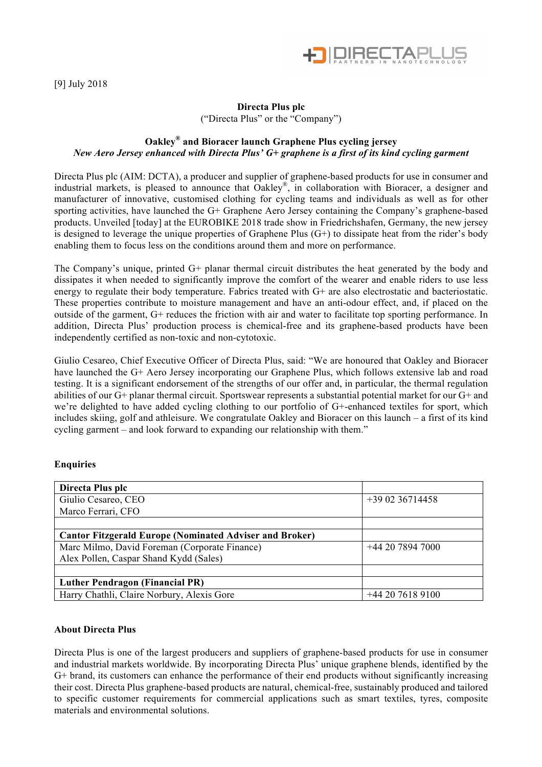

[9] July 2018

## **Directa Plus plc**

("Directa Plus" or the "Company")

## **Oakley ® and Bioracer launch Graphene Plus cycling jersey** *New Aero Jersey enhanced with Directa Plus' G+ graphene is a first of its kind cycling garment*

Directa Plus plc (AIM: DCTA), a producer and supplier of graphene-based products for use in consumer and industrial markets, is pleased to announce that Oakley®, in collaboration with Bioracer, a designer and manufacturer of innovative, customised clothing for cycling teams and individuals as well as for other sporting activities, have launched the G+ Graphene Aero Jersey containing the Company's graphene-based products. Unveiled [today] at the EUROBIKE 2018 trade show in Friedrichshafen, Germany, the new jersey is designed to leverage the unique properties of Graphene Plus (G+) to dissipate heat from the rider's body enabling them to focus less on the conditions around them and more on performance.

The Company's unique, printed G+ planar thermal circuit distributes the heat generated by the body and dissipates it when needed to significantly improve the comfort of the wearer and enable riders to use less energy to regulate their body temperature. Fabrics treated with G+ are also electrostatic and bacteriostatic. These properties contribute to moisture management and have an anti-odour effect, and, if placed on the outside of the garment, G+ reduces the friction with air and water to facilitate top sporting performance. In addition, Directa Plus' production process is chemical-free and its graphene-based products have been independently certified as non-toxic and non-cytotoxic.

Giulio Cesareo, Chief Executive Officer of Directa Plus, said: "We are honoured that Oakley and Bioracer have launched the G+ Aero Jersey incorporating our Graphene Plus, which follows extensive lab and road testing. It is a significant endorsement of the strengths of our offer and, in particular, the thermal regulation abilities of our G+ planar thermal circuit. Sportswear represents a substantial potential market for our G+ and we're delighted to have added cycling clothing to our portfolio of G+-enhanced textiles for sport, which includes skiing, golf and athleisure. We congratulate Oakley and Bioracer on this launch – a first of its kind cycling garment – and look forward to expanding our relationship with them."

## **Enquiries**

| Directa Plus plc                                               |                  |
|----------------------------------------------------------------|------------------|
| Giulio Cesareo, CEO                                            | $+390236714458$  |
| Marco Ferrari, CFO                                             |                  |
|                                                                |                  |
| <b>Cantor Fitzgerald Europe (Nominated Adviser and Broker)</b> |                  |
| Marc Milmo, David Foreman (Corporate Finance)                  | +44 20 7894 7000 |
| Alex Pollen, Caspar Shand Kydd (Sales)                         |                  |
|                                                                |                  |
| <b>Luther Pendragon (Financial PR)</b>                         |                  |
| Harry Chathli, Claire Norbury, Alexis Gore                     | $+442076189100$  |

## **About Directa Plus**

Directa Plus is one of the largest producers and suppliers of graphene-based products for use in consumer and industrial markets worldwide. By incorporating Directa Plus' unique graphene blends, identified by the G+ brand, its customers can enhance the performance of their end products without significantly increasing their cost. Directa Plus graphene-based products are natural, chemical-free, sustainably produced and tailored to specific customer requirements for commercial applications such as smart textiles, tyres, composite materials and environmental solutions.